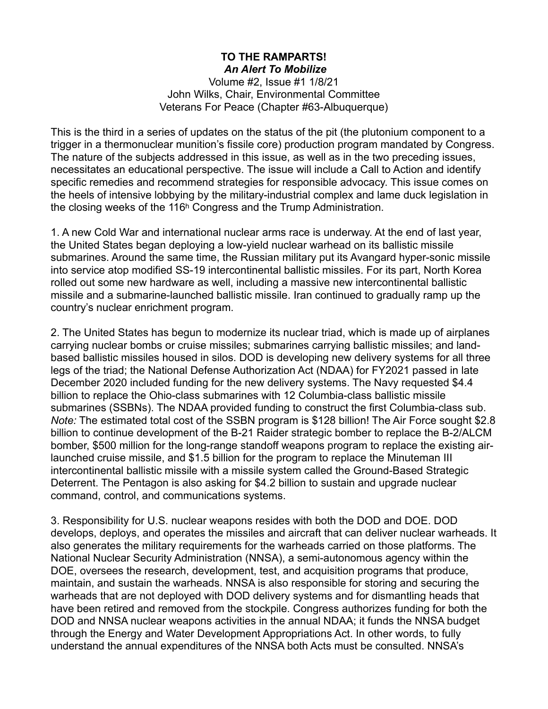## **TO THE RAMPARTS!**  *An Alert To Mobilize*

Volume #2, Issue #1 1/8/21 John Wilks, Chair, Environmental Committee Veterans For Peace (Chapter #63-Albuquerque)

This is the third in a series of updates on the status of the pit (the plutonium component to a trigger in a thermonuclear munition's fissile core) production program mandated by Congress. The nature of the subjects addressed in this issue, as well as in the two preceding issues, necessitates an educational perspective. The issue will include a Call to Action and identify specific remedies and recommend strategies for responsible advocacy. This issue comes on the heels of intensive lobbying by the military-industrial complex and lame duck legislation in the closing weeks of the 116h Congress and the Trump Administration.

1. A new Cold War and international nuclear arms race is underway. At the end of last year, the United States began deploying a low-yield nuclear warhead on its ballistic missile submarines. Around the same time, the Russian military put its Avangard hyper-sonic missile into service atop modified SS-19 intercontinental ballistic missiles. For its part, North Korea rolled out some new hardware as well, including a massive new intercontinental ballistic missile and a submarine-launched ballistic missile. Iran continued to gradually ramp up the country's nuclear enrichment program.

2. The United States has begun to modernize its nuclear triad, which is made up of airplanes carrying nuclear bombs or cruise missiles; submarines carrying ballistic missiles; and landbased ballistic missiles housed in silos. DOD is developing new delivery systems for all three legs of the triad; the National Defense Authorization Act (NDAA) for FY2021 passed in late December 2020 included funding for the new delivery systems. The Navy requested \$4.4 billion to replace the Ohio-class submarines with 12 Columbia-class ballistic missile submarines (SSBNs). The NDAA provided funding to construct the first Columbia-class sub. *Note:* The estimated total cost of the SSBN program is \$128 billion! The Air Force sought \$2.8 billion to continue development of the B-21 Raider strategic bomber to replace the B-2/ALCM bomber, \$500 million for the long-range standoff weapons program to replace the existing airlaunched cruise missile, and \$1.5 billion for the program to replace the Minuteman III intercontinental ballistic missile with a missile system called the Ground-Based Strategic Deterrent. The Pentagon is also asking for \$4.2 billion to sustain and upgrade nuclear command, control, and communications systems.

3. Responsibility for U.S. nuclear weapons resides with both the DOD and DOE. DOD develops, deploys, and operates the missiles and aircraft that can deliver nuclear warheads. It also generates the military requirements for the warheads carried on those platforms. The National Nuclear Security Administration (NNSA), a semi-autonomous agency within the DOE, oversees the research, development, test, and acquisition programs that produce, maintain, and sustain the warheads. NNSA is also responsible for storing and securing the warheads that are not deployed with DOD delivery systems and for dismantling heads that have been retired and removed from the stockpile. Congress authorizes funding for both the DOD and NNSA nuclear weapons activities in the annual NDAA; it funds the NNSA budget through the Energy and Water Development Appropriations Act. In other words, to fully understand the annual expenditures of the NNSA both Acts must be consulted. NNSA's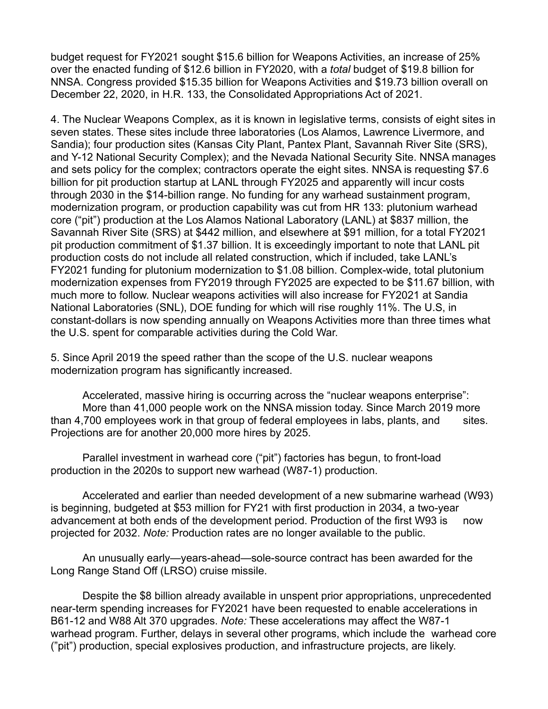budget request for FY2021 sought \$15.6 billion for Weapons Activities, an increase of 25% over the enacted funding of \$12.6 billion in FY2020, with a *total* budget of \$19.8 billion for NNSA. Congress provided \$15.35 billion for Weapons Activities and \$19.73 billion overall on December 22, 2020, in H.R. 133, the Consolidated Appropriations Act of 2021.

4. The Nuclear Weapons Complex, as it is known in legislative terms, consists of eight sites in seven states. These sites include three laboratories (Los Alamos, Lawrence Livermore, and Sandia); four production sites (Kansas City Plant, Pantex Plant, Savannah River Site (SRS), and Y-12 National Security Complex); and the Nevada National Security Site. NNSA manages and sets policy for the complex; contractors operate the eight sites. NNSA is requesting \$7.6 billion for pit production startup at LANL through FY2025 and apparently will incur costs through 2030 in the \$14-billion range. No funding for any warhead sustainment program, modernization program, or production capability was cut from HR 133: plutonium warhead core ("pit") production at the Los Alamos National Laboratory (LANL) at \$837 million, the Savannah River Site (SRS) at \$442 million, and elsewhere at \$91 million, for a total FY2021 pit production commitment of \$1.37 billion. It is exceedingly important to note that LANL pit production costs do not include all related construction, which if included, take LANL's FY2021 funding for plutonium modernization to \$1.08 billion. Complex-wide, total plutonium modernization expenses from FY2019 through FY2025 are expected to be \$11.67 billion, with much more to follow. Nuclear weapons activities will also increase for FY2021 at Sandia National Laboratories (SNL), DOE funding for which will rise roughly 11%. The U.S, in constant-dollars is now spending annually on Weapons Activities more than three times what the U.S. spent for comparable activities during the Cold War.

5. Since April 2019 the speed rather than the scope of the U.S. nuclear weapons modernization program has significantly increased.

 Accelerated, massive hiring is occurring across the "nuclear weapons enterprise": More than 41,000 people work on the NNSA mission today. Since March 2019 more than 4,700 employees work in that group of federal employees in labs, plants, and sites. Projections are for another 20,000 more hires by 2025.

 Parallel investment in warhead core ("pit") factories has begun, to front-load production in the 2020s to support new warhead (W87-1) production.

 Accelerated and earlier than needed development of a new submarine warhead (W93) is beginning, budgeted at \$53 million for FY21 with first production in 2034, a two-year advancement at both ends of the development period. Production of the first W93 is now projected for 2032. *Note:* Production rates are no longer available to the public.

 An unusually early—years-ahead—sole-source contract has been awarded for the Long Range Stand Off (LRSO) cruise missile.

 Despite the \$8 billion already available in unspent prior appropriations, unprecedented near-term spending increases for FY2021 have been requested to enable accelerations in B61-12 and W88 Alt 370 upgrades. *Note:* These accelerations may affect the W87-1 warhead program. Further, delays in several other programs, which include the warhead core ("pit") production, special explosives production, and infrastructure projects, are likely.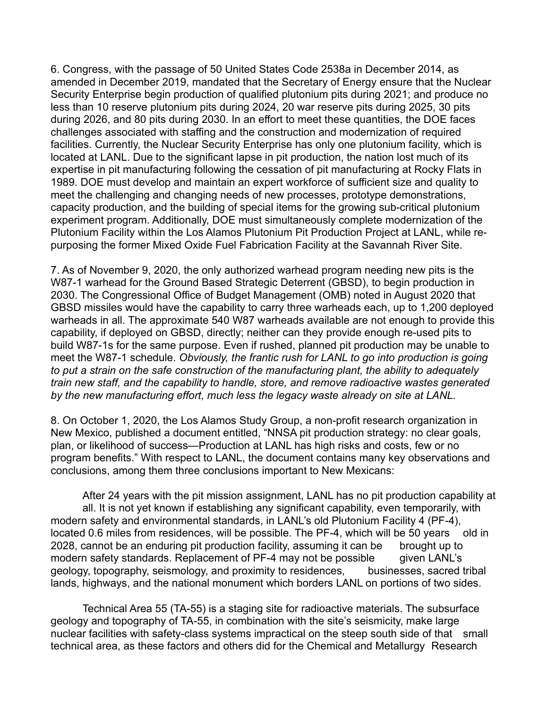6. Congress, with the passage of 50 United States Code 2538a in December 2014, as amended in December 2019, mandated that the Secretary of Energy ensure that the Nuclear Security Enterprise begin production of qualified plutonium pits during 2021; and produce no less than 10 reserve plutonium pits during 2024, 20 war reserve pits during 2025, 30 pits during 2026, and 80 pits during 2030. In an effort to meet these quantities, the DOE faces challenges associated with staffing and the construction and modernization of required facilities. Currently, the Nuclear Security Enterprise has only one plutonium facility, which is located at LANL. Due to the significant lapse in pit production, the nation lost much of its expertise in pit manufacturing following the cessation of pit manufacturing at Rocky Flats in 1989. DOE must develop and maintain an expert workforce of sufficient size and quality to meet the challenging and changing needs of new processes, prototype demonstrations, capacity production, and the building of special items for the growing sub-critical plutonium experiment program. Additionally, DOE must simultaneously complete modernization of the Plutonium Facility within the Los Alamos Plutonium Pit Production Project at LANL, while repurposing the former Mixed Oxide Fuel Fabrication Facility at the Savannah River Site.

7. As of November 9, 2020, the only authorized warhead program needing new pits is the W87-1 warhead for the Ground Based Strategic Deterrent (GBSD), to begin production in 2030. The Congressional Office of Budget Management (OMB) noted in August 2020 that GBSD missiles would have the capability to carry three warheads each, up to 1,200 deployed warheads in all. The approximate 540 W87 warheads available are not enough to provide this capability, if deployed on GBSD, directly; neither can they provide enough re-used pits to build W87-1s for the same purpose. Even if rushed, planned pit production may be unable to meet the W87-1 schedule. *Obviously, the frantic rush for LANL to go into production is going to put a strain on the safe construction of the manufacturing plant, the ability to adequately train new staff, and the capability to handle, store, and remove radioactive wastes generated by the new manufacturing effort, much less the legacy waste already on site at LANL.* 

8. On October 1, 2020, the Los Alamos Study Group, a non-profit research organization in New Mexico, published a document entitled, "NNSA pit production strategy: no clear goals, plan, or likelihood of success—Production at LANL has high risks and costs, few or no program benefits." With respect to LANL, the document contains many key observations and conclusions, among them three conclusions important to New Mexicans:

 After 24 years with the pit mission assignment, LANL has no pit production capability at all. It is not yet known if establishing any significant capability, even temporarily, with modern safety and environmental standards, in LANL's old Plutonium Facility 4 (PF-4), located 0.6 miles from residences, will be possible. The PF-4, which will be 50 years old in 2028, cannot be an enduring pit production facility, assuming it can be brought up to modern safety standards. Replacement of PF-4 may not be possible given LANL's geology, topography, seismology, and proximity to residences, businesses, sacred tribal lands, highways, and the national monument which borders LANL on portions of two sides.

 Technical Area 55 (TA-55) is a staging site for radioactive materials. The subsurface geology and topography of TA-55, in combination with the site's seismicity, make large nuclear facilities with safety-class systems impractical on the steep south side of that small technical area, as these factors and others did for the Chemical and Metallurgy Research